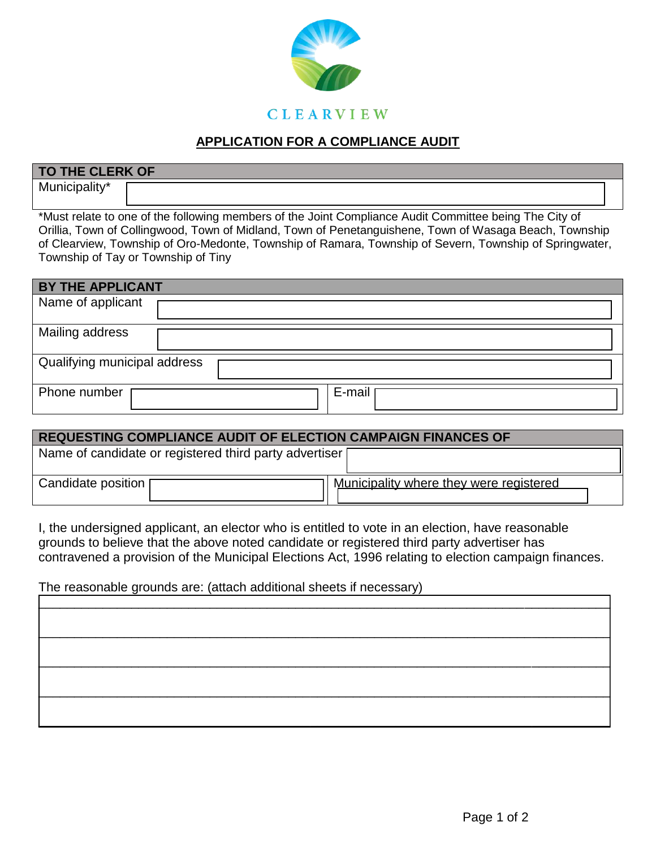

## **APPLICATION FOR A COMPLIANCE AUDIT**

| TO THE CLERK OF                 |  |  |  |
|---------------------------------|--|--|--|
| ` ~li∔v∧<br><b>Municipality</b> |  |  |  |

\*Must relate to one of the following members of the Joint Compliance Audit Committee being The City of Orillia, Town of Collingwood, Town of Midland, Town of Penetanguishene, Town of Wasaga Beach, Township of Clearview, Township of Oro-Medonte, Township of Ramara, Township of Severn, Township of Springwater, Township of Tay or Township of Tiny

| BY THE APPLICANT             |        |  |  |  |
|------------------------------|--------|--|--|--|
| Name of applicant            |        |  |  |  |
| Mailing address              |        |  |  |  |
| Qualifying municipal address |        |  |  |  |
| Phone number                 | E-mail |  |  |  |

| <b>REQUESTING COMPLIANCE AUDIT OF ELECTION CAMPAIGN FINANCES OF</b> |                                         |  |  |  |
|---------------------------------------------------------------------|-----------------------------------------|--|--|--|
| Name of candidate or registered third party advertiser              |                                         |  |  |  |
| Candidate position [                                                | Municipality where they were registered |  |  |  |

I, the undersigned applicant, an elector who is entitled to vote in an election, have reasonable grounds to believe that the above noted candidate or registered third party advertiser has contravened a provision of the Municipal Elections Act, 1996 relating to election campaign finances.

The reasonable grounds are: (attach additional sheets if necessary)